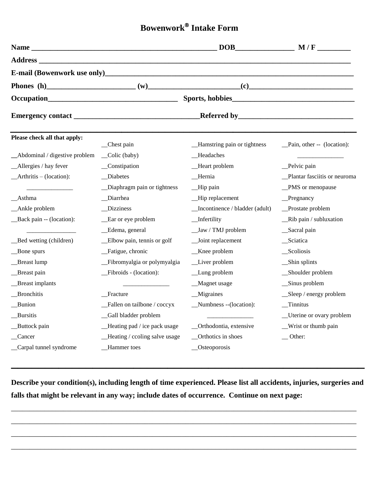## **Bowenwork Intake Form**

|                                |                                    |                                | $DOB$ $M/F$                   |
|--------------------------------|------------------------------------|--------------------------------|-------------------------------|
|                                |                                    |                                |                               |
|                                |                                    |                                |                               |
|                                |                                    |                                |                               |
|                                |                                    |                                |                               |
|                                |                                    |                                |                               |
| Please check all that apply:   | _Chest pain                        | _Hamstring pain or tightness   | _Pain, other -- (location):   |
| _Abdominal / digestive problem | $\_\$ {Colic} (baby)               | _Headaches                     |                               |
| _Allergies / hay fever         | _Constipation                      | _Heart problem                 | _Pelvic pain                  |
| $-Arthritis - (location):$     | Diabetes                           | _Hernia                        | Plantar fasciitis or neuroma  |
|                                | _Diaphragm pain or tightness       | _Hip pain                      | _PMS or menopause             |
| _Asthma                        | _Diarrhea                          | _Hip replacement               | Pregnancy                     |
| _Ankle problem                 | Dizziness                          | Incontinence / bladder (adult) | _Prostate problem             |
| _Back pain -- (location):      | _Ear or eye problem                | _Infertility                   | _Rib pain / subluxation       |
|                                | _Edema, general                    | _Jaw / TMJ problem             | _Sacral pain                  |
| __Bed wetting (children)       | _Elbow pain, tennis or golf        | _Joint replacement             | _Sciatica                     |
| _Bone spurs                    | _Fatigue, chronic                  | $Knee$ problem                 | _Scoliosis                    |
| _Breast lump                   | _Fibromyalgia or polymyalgia       | _Liver problem                 | _Shin splints                 |
| _Breast pain                   | _Fibroids - (location):            | _Lung problem                  | _Shoulder problem             |
| _Breast implants               |                                    | _Magnet usage                  | _Sinus problem                |
| _Bronchitis                    | Fracture                           | _Migraines                     | $\_\$                         |
| Bunion                         | _Fallen on tailbone / coccyx       | _Numbness --(location):        | $\sqrt{\frac{1}{1}}$ Tinnitus |
| Bursitis                       | Gall bladder problem               |                                | Uterine or ovary problem      |
| _Buttock pain                  | $\_\$ Heating pad / ice pack usage | _Orthodontia, extensive        | _Wrist or thumb pain          |
| _Cancer                        | _Heating / ccoling salve usage     | _Orthotics in shoes            | $\equiv$ Other:               |
| _Carpal tunnel syndrome        | _Hammer toes                       | _Osteoporosis                  |                               |

**Describe your condition(s), including length of time experienced. Please list all accidents, injuries, surgeries and falls that might be relevant in any way; include dates of occurrence. Continue on next page:**

\_\_\_\_\_\_\_\_\_\_\_\_\_\_\_\_\_\_\_\_\_\_\_\_\_\_\_\_\_\_\_\_\_\_\_\_\_\_\_\_\_\_\_\_\_\_\_\_\_\_\_\_\_\_\_\_\_\_\_\_\_\_\_\_\_\_\_\_\_\_\_\_\_\_\_\_\_\_\_\_\_\_\_\_\_\_\_\_\_\_\_\_\_

\_\_\_\_\_\_\_\_\_\_\_\_\_\_\_\_\_\_\_\_\_\_\_\_\_\_\_\_\_\_\_\_\_\_\_\_\_\_\_\_\_\_\_\_\_\_\_\_\_\_\_\_\_\_\_\_\_\_\_\_\_\_\_\_\_\_\_\_\_\_\_\_\_\_\_\_\_\_\_\_\_\_\_\_\_\_\_\_\_\_\_\_\_

\_\_\_\_\_\_\_\_\_\_\_\_\_\_\_\_\_\_\_\_\_\_\_\_\_\_\_\_\_\_\_\_\_\_\_\_\_\_\_\_\_\_\_\_\_\_\_\_\_\_\_\_\_\_\_\_\_\_\_\_\_\_\_\_\_\_\_\_\_\_\_\_\_\_\_\_\_\_\_\_\_\_\_\_\_\_\_\_\_\_\_\_\_

\_\_\_\_\_\_\_\_\_\_\_\_\_\_\_\_\_\_\_\_\_\_\_\_\_\_\_\_\_\_\_\_\_\_\_\_\_\_\_\_\_\_\_\_\_\_\_\_\_\_\_\_\_\_\_\_\_\_\_\_\_\_\_\_\_\_\_\_\_\_\_\_\_\_\_\_\_\_\_\_\_\_\_\_\_\_\_\_\_\_\_\_\_